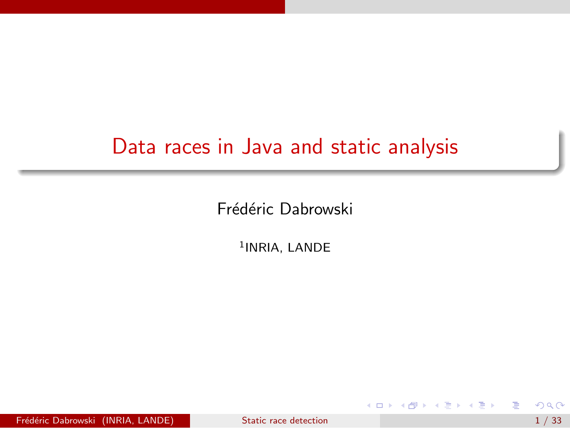### Data races in Java and static analysis

Frédéric Dabrowski

<sup>1</sup>INRIA, LANDE

Frédéric Dabrowski (INRIA, LANDE) [Static race detection](#page-32-0) 1 / 33

目

<span id="page-0-0"></span>경기 지경기

**← ロ ▶ → イ 冊**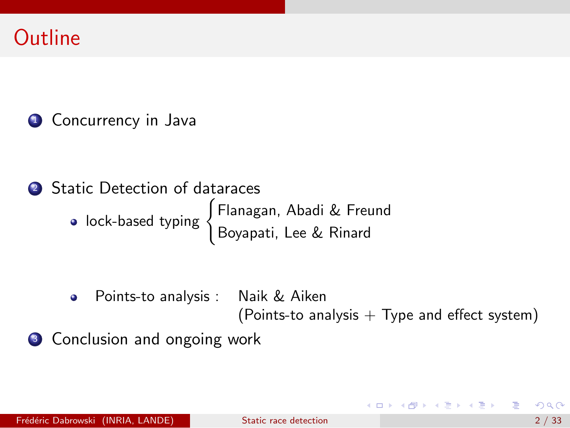### **Outline**

**1** Concurrency in Java

<sup>2</sup> Static Detection of dataraces lock-based typing ( Flanagan, Abadi & Freund Boyapati, Lee & Rinard

> Points-to analysis : Naik & Aiken  $\bullet$ (Points-to analysis  $+$  Type and effect system)

**3** Conclusion and ongoing work

イロン イ部ン イ君ン イ君ン 一番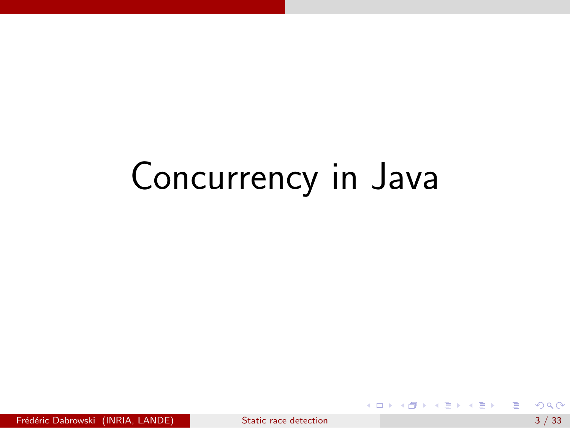D.

イロメ イ部メ イヨメ イヨメー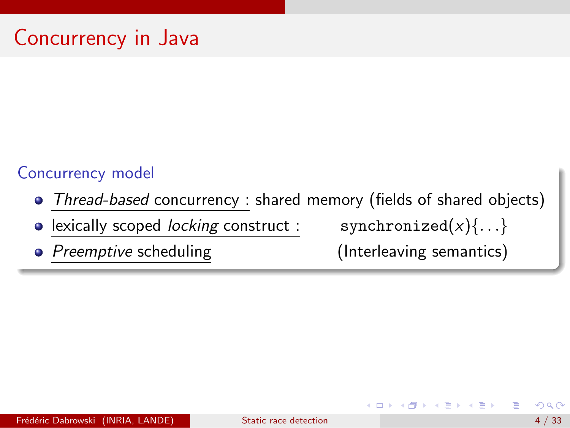#### Concurrency model

• Thread-based concurrency : shared memory (fields of shared objects)

lexically scoped *locking* construct : synchronized $(x)$  $\{ \ldots \}$  $\bullet$ 

• Preemptive scheduling (Interleaving semantics)

 $\mathcal{A} \cap \mathbb{P} \rightarrow \mathcal{A} \supseteq \mathcal{A} \rightarrow \mathcal{A} \supseteq \mathcal{A}$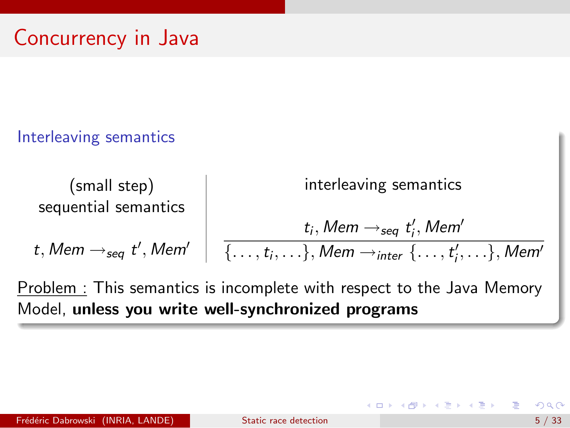### Interleaving semantics

$$
\begin{array}{c|c|c|c|c} \text{(small step)} & \text{interleaving semantics} \\ \text{sequential semantics} & & & & \\ t_i, \text{Mem} \rightarrow_{\text{seq}} t'_i, \text{Mem'} & & & \\ \hline & & & \\ \hline & & & \\ \end{array}
$$

Problem : This semantics is incomplete with respect to the Java Memory Model, unless you write well-synchronized programs

 $A \oplus B$   $A \oplus B$   $A \oplus B$   $A \oplus B$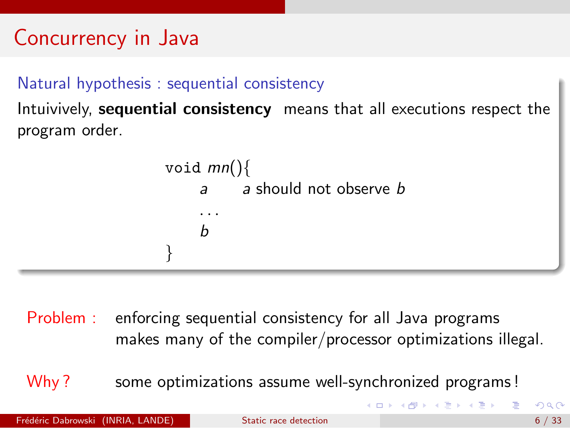#### Natural hypothesis : sequential consistency

Intuivively, sequential consistency means that all executions respect the program order.



Problem : enforcing sequential consistency for all Java programs makes many of the compiler/processor optimizations illegal.

Why? some optimizations assume well-synchronized programs!

**イロト イ何ト イヨト イヨト**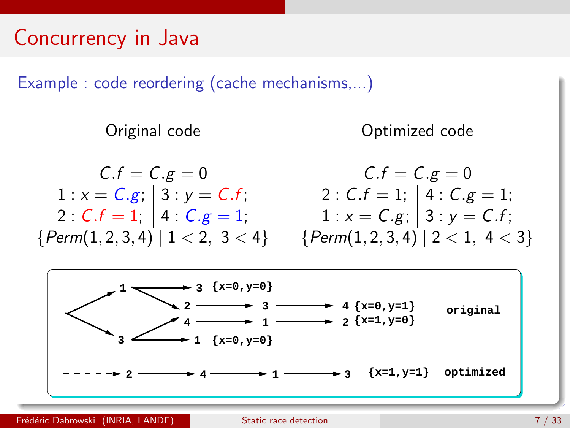Example : code reordering (cache mechanisms,...)

Original code Optimized code

 $C.f = C.g = 0$  $1 : x = C.g; | 3 : y = C.f;$ 2 :  $C.f = 1; | 4 : C.g = 1;$  ${Perm(1, 2, 3, 4) | 1 < 2, 3 < 4}$ 

$$
C.f = C.g = 0
$$
  
2:  $C.f = 1$ ; | 4:  $C.g = 1$ ;  
1:  $x = C.g$ ; | 3:  $y = C.f$ ;  
{*Perm*(1, 2, 3, 4) | 2 < 1, 4 < 3}

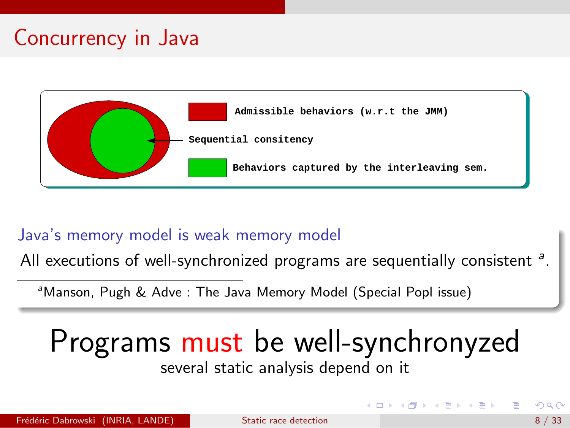

#### Java's memory model is weak memory model

All executions of well-synchronized programs are sequentially consistent  $a$ .

<sup>a</sup>Manson, Pugh & Adve : The Java Memory Model (Special Popl issue)

### Programs must be well-synchronyzed several static analysis depend on it

K ロト K 御 ト K 君 ト K 君 K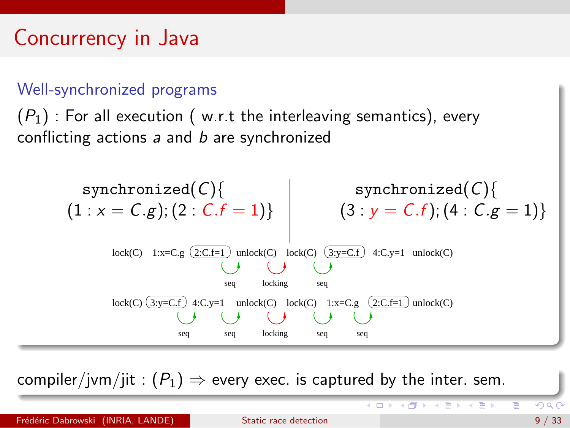#### Well-synchronized programs

 $(P_1)$ : For all execution (w.r.t the interleaving semantics), every conflicting actions  $a$  and  $b$  are synchronized



compiler/jvm/jit :  $(P_1) \Rightarrow$  every exec. is captured by the inter. sem.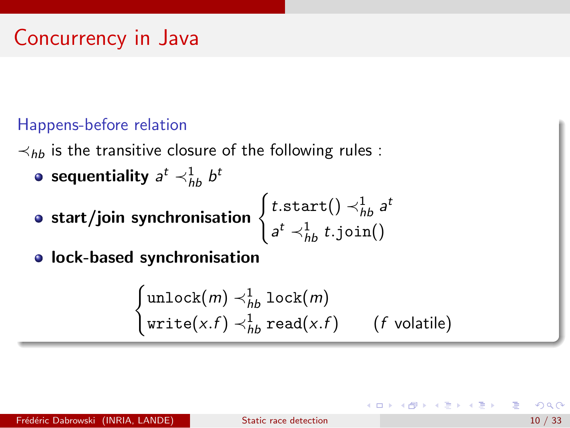### Happens-before relation

 $\prec_{hh}$  is the transitive closure of the following rules :

- sequentiality  $\scriptstyle{ \mathcal{a}^t \prec_{hb}^1 b^t }$
- o start/join synchronisation

$$
\begin{cases} t.\text{start}() \prec_{hb}^1 a^t \\ a^t \prec_{hb}^1 t.\text{join}() \end{cases}
$$

**o** lock-based synchronisation

$$
\begin{cases}\n\text{unlock}(m) \prec^1_{hb} \text{lock}(m) \\
\text{write}(x.f) \prec^1_{hb} \text{read}(x.f) \qquad (f \text{ volatile})\n\end{cases}
$$

÷

イタト イミト イミト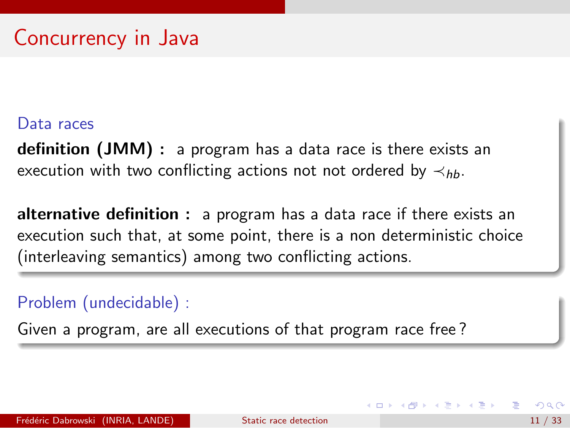#### Data races

definition (JMM) : a program has a data race is there exists an execution with two conflicting actions not not ordered by  $\prec_{hh}$ .

alternative definition : a program has a data race if there exists an execution such that, at some point, there is a non deterministic choice (interleaving semantics) among two conflicting actions.

#### Problem (undecidable) :

Given a program, are all executions of that program race free ?

**K ロ ▶ | K 母 ▶ | K ヨ ▶ | K ヨ ▶**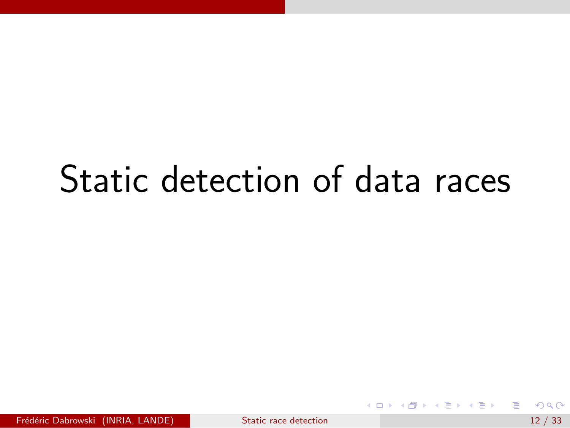## Static detection of data races

Frédéric Dabrowski (INRIA, LANDE) [Static race detection](#page-0-0) 12 / 33

目

**イロト イ母ト イヨト イヨト**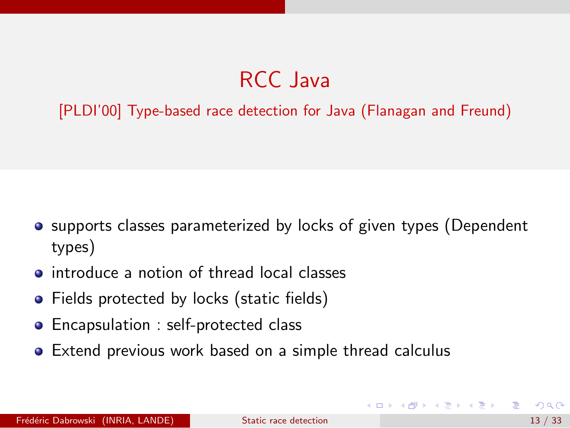## RCC Java

[PLDI'00] Type-based race detection for Java (Flanagan and Freund)

- **•** supports classes parameterized by locks of given types (Dependent types)
- **•** introduce a notion of thread local classes
- Fields protected by locks (static fields)
- Encapsulation : self-protected class
- Extend previous work based on a simple thread calculus

イロト イ母 トイヨ トイヨ トー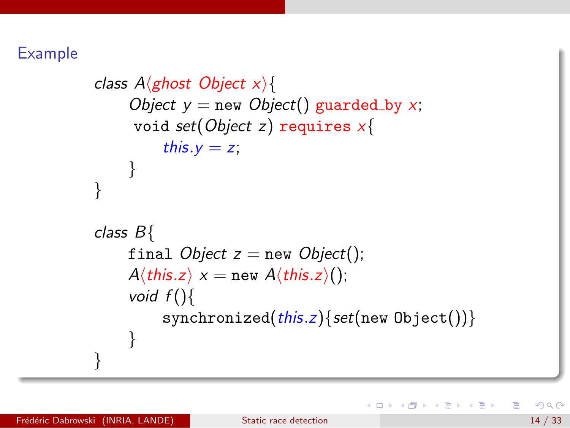Example

```
class A(ghost Object x){
     Object y = new Object() guarded by x;
      void set(Object z) requires x{
           this.y = z;
     }
}
class B{
     final Object z = new Object();
     A\langle \text{this}.z \rangle \times = \text{new } A\langle \text{this}.z \rangle();
     void f()synchronized(this.z){set(new Object())}
     }
}
```
→ 何 ▶ → ヨ ▶ → ヨ ▶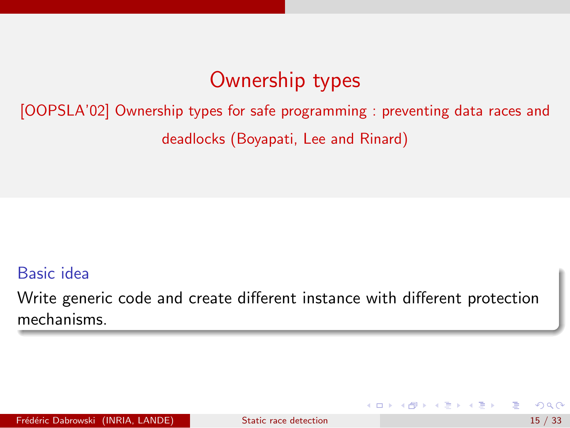### Ownership types

[OOPSLA'02] Ownership types for safe programming : preventing data races and deadlocks (Boyapati, Lee and Rinard)

#### Basic idea

Write generic code and create different instance with different protection mechanisms.

→ 何 ▶ → ヨ ▶ → ヨ ▶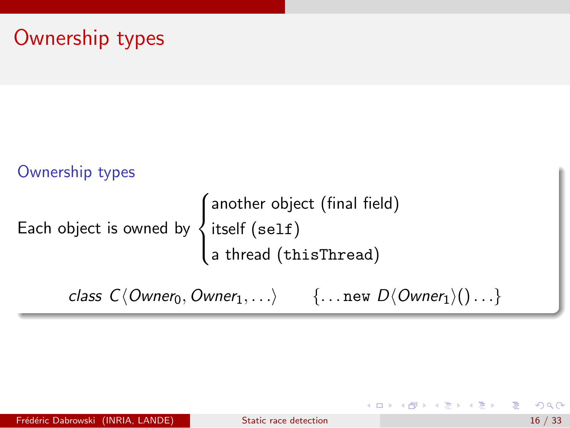### Ownership types

#### Ownership types Each object is owned by  $\sqrt{ }$  $\int$  $\mathcal{L}$ another object (final field) itself (self) a thread (thisThread)

class  $C\langle Owner_0, Owner_1, \ldots \rangle$  {... new  $D\langle Owner_1\rangle() \ldots$ }

イロン イ部ン イヨン イヨン 一番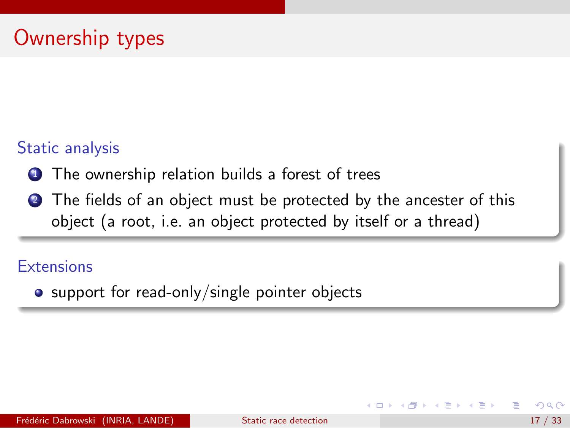#### Static analysis

- **1** The ownership relation builds a forest of trees
- 2 The fields of an object must be protected by the ancester of this object (a root, i.e. an object protected by itself or a thread)

#### **Extensions**

• support for read-only/single pointer objects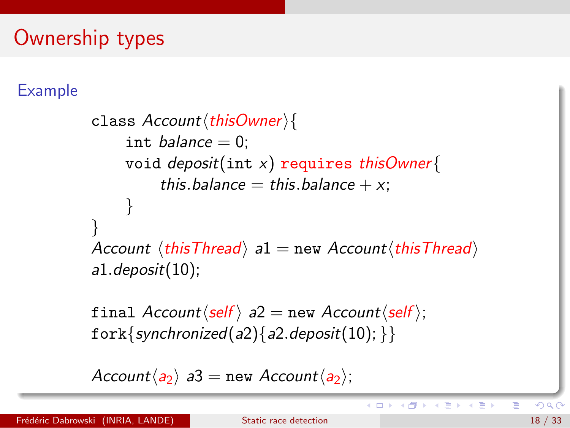### Ownership types

### Example

```
class Account\langle thisOwner\rangleint balance = 0:
     void deposit(int x) requires this Owner{
           this.balance = this.balance +x;
      }
}
Account \langle \text{thisThread} \rangle a1 = new Account\langle \text{thisThread} \ranglea1.deposit(10);
```
final  $Account\langle self \rangle$  a2 = new  $Account\langle self \rangle$ ; fork{synchronized(a2){a2.deposit(10); }}

```
Account\langle a_2 \rangle a3 = new Account\langle a_2 \rangle;
```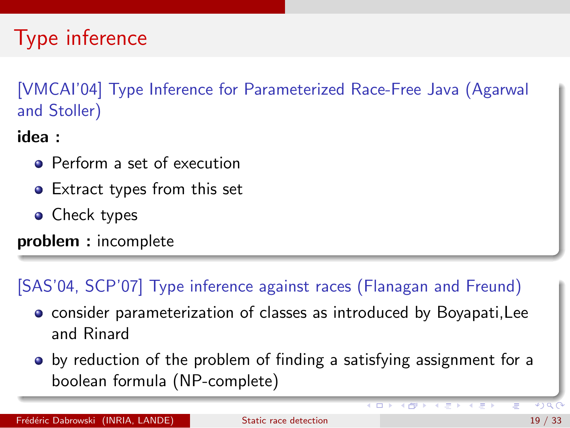## Type inference

[VMCAI'04] Type Inference for Parameterized Race-Free Java (Agarwal and Stoller)

idea :

- Perform a set of execution
- Extract types from this set
- Check types

problem : incomplete

### [SAS'04, SCP'07] Type inference against races (Flanagan and Freund)

- **•** consider parameterization of classes as introduced by Boyapati, Lee and Rinard
- by reduction of the problem of finding a satisfying assignment for a boolean formula (NP-complete)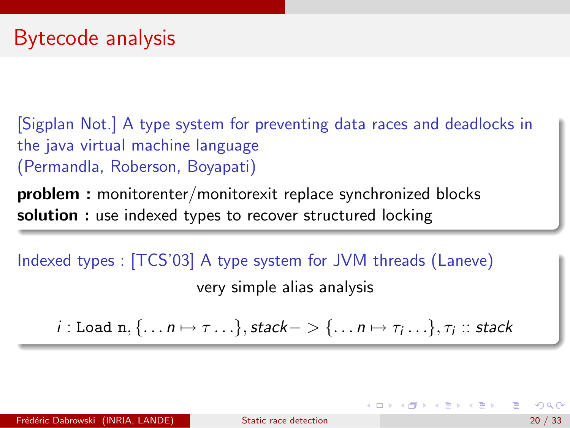[Sigplan Not.] A type system for preventing data races and deadlocks in the java virtual machine language (Permandla, Roberson, Boyapati)

problem : monitorenter/monitorexit replace synchronized blocks solution : use indexed types to recover structured locking

Indexed types : [TCS'03] A type system for JVM threads (Laneve) very simple alias analysis

 $i:$  Load  $\texttt{n}, \{ \ldots \textsf{n} \mapsto \tau \ldots \},$  stack $- > \{ \ldots \textsf{n} \mapsto \tau_i \ldots \}, \tau_i ::$  stack

K ロンス 御 > ス ヨ > ス ヨ > 一 ヨ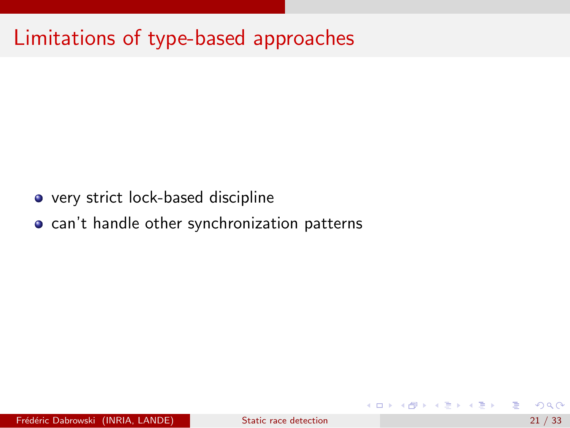### Limitations of type-based approaches

- very strict lock-based discipline
- **o** can't handle other synchronization patterns

э

→ 何 ▶ → ヨ ▶ → ヨ ▶

4 0 8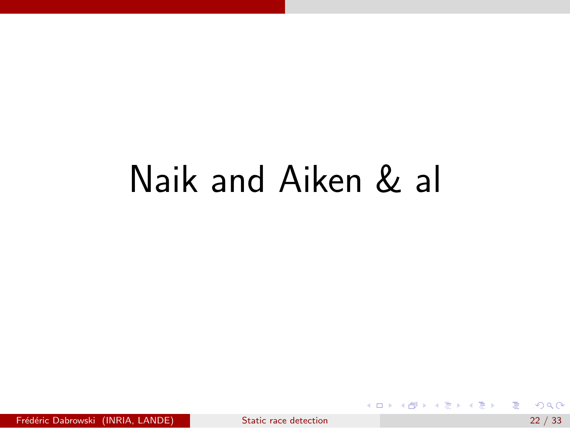# Naik and Aiken & al

目

メロメ メ都 メメ きょくきょ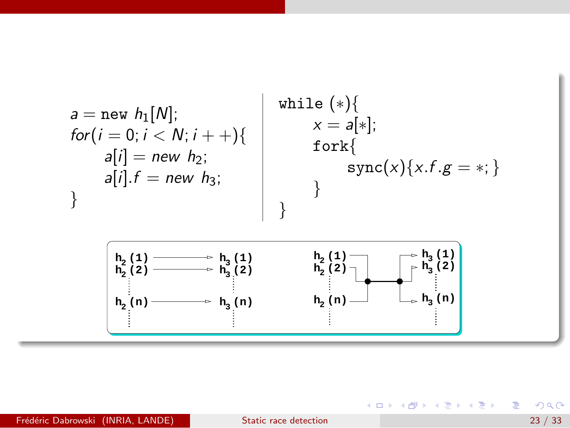

#### Fr´ed´eric Dabrowski (INRIA, LANDE) [Static race detection](#page-0-0) 23 / 33

 $QQ$ 

目

御き メミメ メミメー

4 D F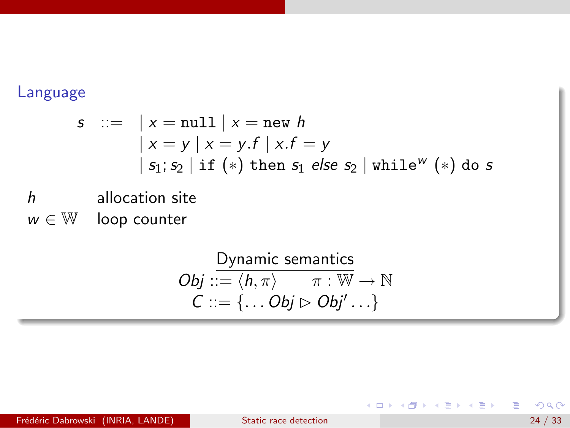#### Language

$$
s ::= \vert x = \text{null} \vert x = \text{new } h
$$
  
\vert x = y \vert x = y.f \vert x.f = y  
\vert s\_1; s\_2 \vert if (\*) then s\_1 else s\_2 \vert while^w (\*) do s

h allocation site

 $w \in \mathbb{W}$  loop counter

Dynamic semantics  $Obj ::= \langle h, \pi \rangle \qquad \pi : \overline{W} \to \mathbb{N}$  $C ::= \{ \dots \textit{Obj} \triangleright \textit{Obj}' \dots \}$ 

Frédéric Dabrowski (INRIA, LANDE) [Static race detection](#page-0-0) and the contract of the 24 / 33

 $QQ$ 

D.

メタメ メミメ メミメー

4 日下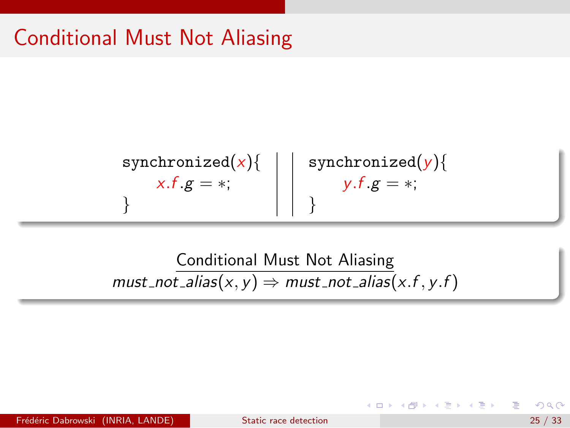### Conditional Must Not Aliasing

synchronized(x){ x.f .g = ∗; } synchronized(y){ y.f .g = ∗; }

Conditional Must Not Aliasing  $must\_not\_alias(x, y) \Rightarrow must\_not\_alias(x, f, y, f)$ 

Frédéric Dabrowski (INRIA, LANDE) [Static race detection](#page-0-0) 25 / 33

→ 何 ▶ → ヨ ▶ → ヨ ▶

4 D F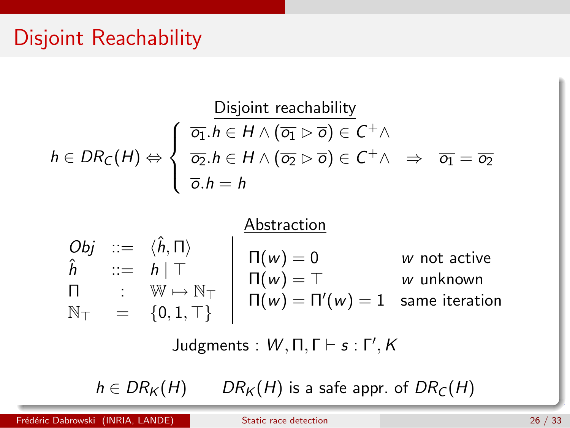### Disjoint Reachability

$$
h \in DR_C(H) \Leftrightarrow \begin{cases} \n\overline{o_1}.h \in H \wedge (\overline{o_1} \rhd \overline{o}) \in C^+ \wedge \\ \n\overline{o_2}.h \in H \wedge (\overline{o_2} \rhd \overline{o}) \in C^+ \wedge \\ \n\overline{o}.h = h \n\end{cases} \Rightarrow \overline{o_1} = \overline{o_2}
$$

$$
Obj :: = \langle \hat{h}, \Pi \rangle
$$
\n
$$
\hat{h} :: = h | T
$$
\n
$$
\Pi : W \mapsto N_T
$$
\n
$$
N_T = \{0, 1, T\}
$$
\n
$$
I(\mathsf{w}) = T
$$
\n
$$
\mathsf{w} \text{ unknown}
$$
\n
$$
\mathsf{w} \mapsto \mathsf{w} \text{ unknown}
$$
\n
$$
\mathsf{w} \mapsto \mathsf{w} \text{ unknown}
$$
\n
$$
\mathsf{w} \mapsto \mathsf{w} \text{ unknown}
$$
\n
$$
\mathsf{w} \mapsto \mathsf{w} \text{ unknown}
$$

Judgments :  $W, \Pi, \Gamma \vdash s : \Gamma', K$ 

 $h \in DR_K(H)$  DR<sub>K</sub> $(H)$  is a safe appr. of DR<sub>[C](#page-0-0)</sub> $(H)$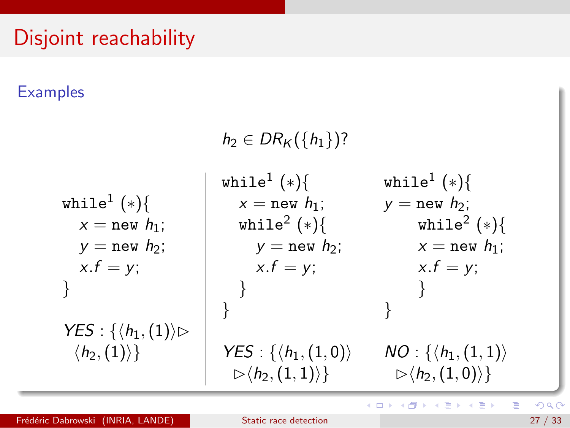### Disjoint reachability

#### **Examples**

 $h_2 \in DR_K({h_1})$ ? while $^{1}\ (*) \{$  $x = new h_1$ ;  $y = new h_2$ ;  $x.f = v$ ; }  $YES: \{\langle h_1,(1)\rangle\}$  $\langle h_2,(1)\rangle\}$ while $^{1}\ (*) \{$  $x =$  new  $h_1$ ; while $^2$   $(\ast)$ {  $y = new h_2$ ;  $x.f = y$ ; } }  $YES: {\langle h_1,(1,0)\rangle}$  $\rhd \langle h_2,(1,1)\rangle$ while $^{1}\ (*) \{$  $y = new h_2$ ; while $^2$   $(*)$   $\{$  $x = new h_1$ ;  $x.f = y$ ; } }  $NO: \{ \langle h_1, (1, 1) \rangle$  $\triangleright$   $\langle h_2, (1, 0) \rangle$ 

E

K ロト K 倒 ト K ヨ ト K ヨ ト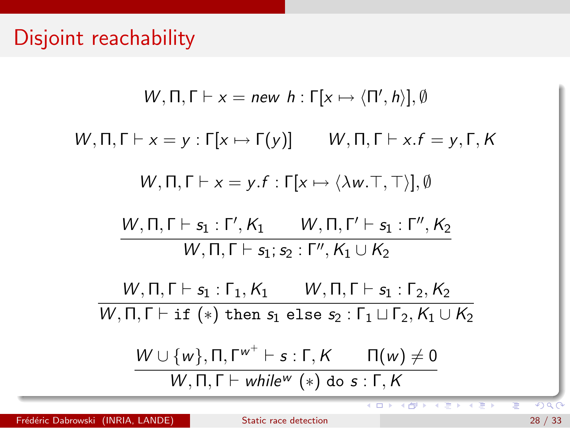W, 
$$
\Pi, \Gamma \vdash x = new \ h : \Gamma[x \mapsto (\Pi', h)], \emptyset
$$
  
\nW,  $\Pi, \Gamma \vdash x = y : \Gamma[x \mapsto \Gamma(y)]$  W,  $\Pi, \Gamma \vdash x.f = y, \Gamma, K$   
\nW,  $\Pi, \Gamma \vdash x = y.f : \Gamma[x \mapsto \langle \lambda w. \top, \top \rangle], \emptyset$   
\nW,  $\Pi, \Gamma \vdash s_1 : \Gamma', K_1$  W,  $\Pi, \Gamma' \vdash s_1 : \Gamma'', K_2$   
\nW,  $\Pi, \Gamma \vdash s_1 : s_2 : \Gamma'', K_1 \cup K_2$   
\nW,  $\Pi, \Gamma \vdash s_1 : \Gamma_1, K_1$  W,  $\Pi, \Gamma \vdash s_1 : s_2, K_2$   
\nW,  $\Pi, \Gamma \vdash \text{if } (*) \text{ then } s_1 \text{ else } s_2 : \Gamma_1 \sqcup \Gamma_2, K_1 \cup K_2$   
\nW \cup \{w\},  $\Pi, \Gamma \vdash while^w(x) \text{ do } s : \Gamma, K$ 

Ξ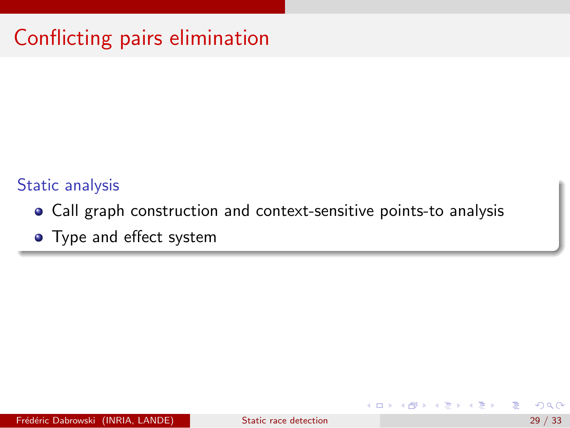## Conflicting pairs elimination

#### Static analysis

- Call graph construction and context-sensitive points-to analysis
- Type and effect system

イラメ イラメ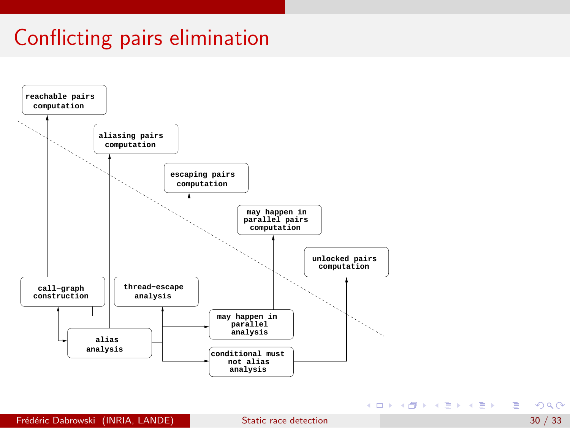### Conflicting pairs elimination



**Frédéric Dabrowski (INRIA, LANDE)** [Static race detection](#page-0-0) 30 / 33 / 33

K ロ ▶ K 個 ▶ K ミ ▶ K ミ ▶ │ 글 │ K 9 Q Q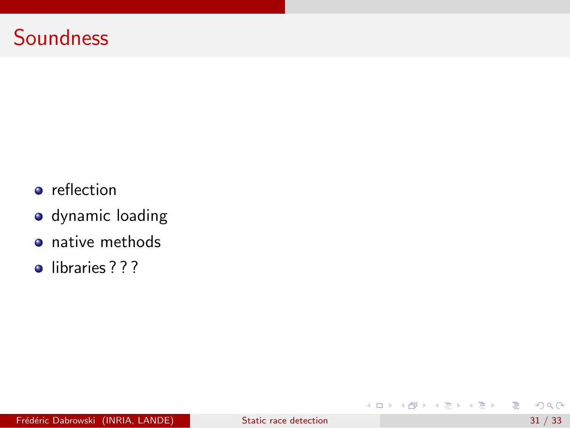### **Soundness**

- **o** reflection
- dynamic loading
- native methods
- libraries ? ? ?

目

メロメ メ都 メメ きょくきょ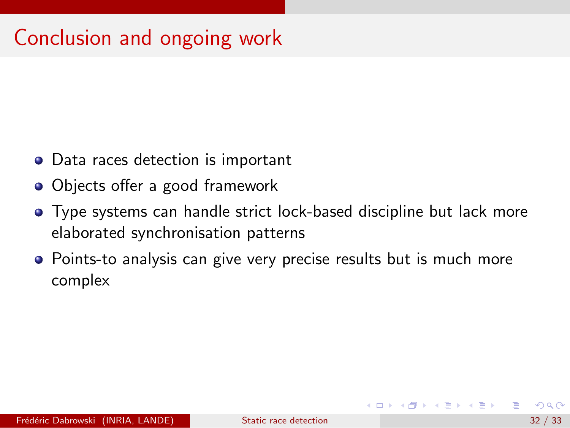### Conclusion and ongoing work

- Data races detection is important
- Objects offer a good framework
- Type systems can handle strict lock-based discipline but lack more elaborated synchronisation patterns
- Points-to analysis can give very precise results but is much more complex

A + + = + + = +